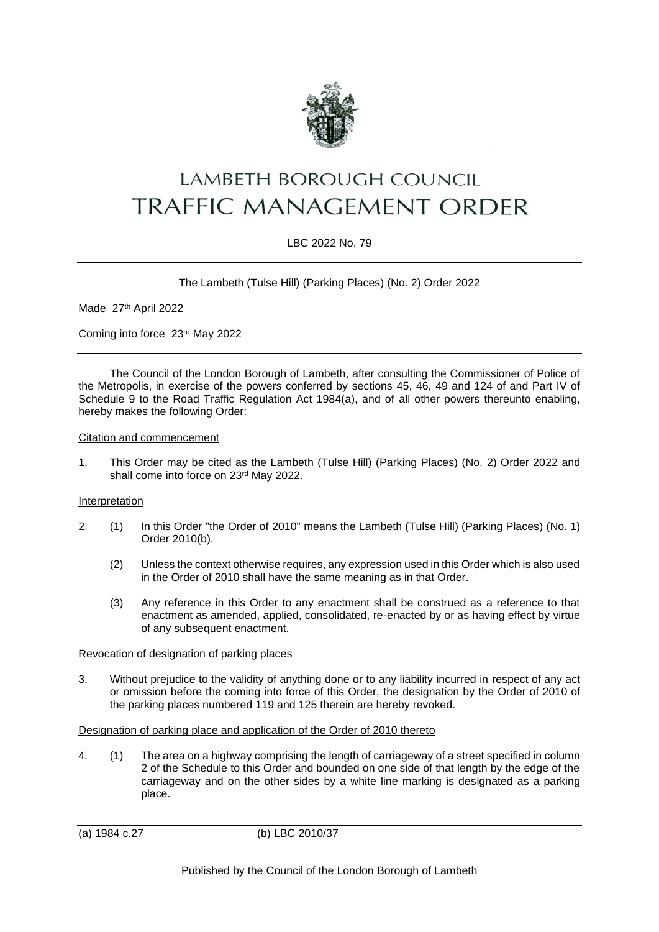

# LAMBETH BOROUGH COUNCIL TRAFFIC MANAGEMENT ORDER

## LBC 2022 No. 79

The Lambeth (Tulse Hill) (Parking Places) (No. 2) Order 2022

Made 27th April 2022

Coming into force 23rd May 2022

The Council of the London Borough of Lambeth, after consulting the Commissioner of Police of the Metropolis, in exercise of the powers conferred by sections 45, 46, 49 and 124 of and Part IV of Schedule 9 to the Road Traffic Regulation Act 1984(a), and of all other powers thereunto enabling, hereby makes the following Order:

Citation and commencement

1. This Order may be cited as the Lambeth (Tulse Hill) (Parking Places) (No. 2) Order 2022 and shall come into force on 23rd May 2022.

#### **Interpretation**

- 2. (1) In this Order "the Order of 2010" means the Lambeth (Tulse Hill) (Parking Places) (No. 1) Order 2010(b).
	- (2) Unless the context otherwise requires, any expression used in this Order which is also used in the Order of 2010 shall have the same meaning as in that Order.
	- (3) Any reference in this Order to any enactment shall be construed as a reference to that enactment as amended, applied, consolidated, re-enacted by or as having effect by virtue of any subsequent enactment.

#### Revocation of designation of parking places

3. Without prejudice to the validity of anything done or to any liability incurred in respect of any act or omission before the coming into force of this Order, the designation by the Order of 2010 of the parking places numbered 119 and 125 therein are hereby revoked.

#### Designation of parking place and application of the Order of 2010 thereto

4. (1) The area on a highway comprising the length of carriageway of a street specified in column 2 of the Schedule to this Order and bounded on one side of that length by the edge of the carriageway and on the other sides by a white line marking is designated as a parking place.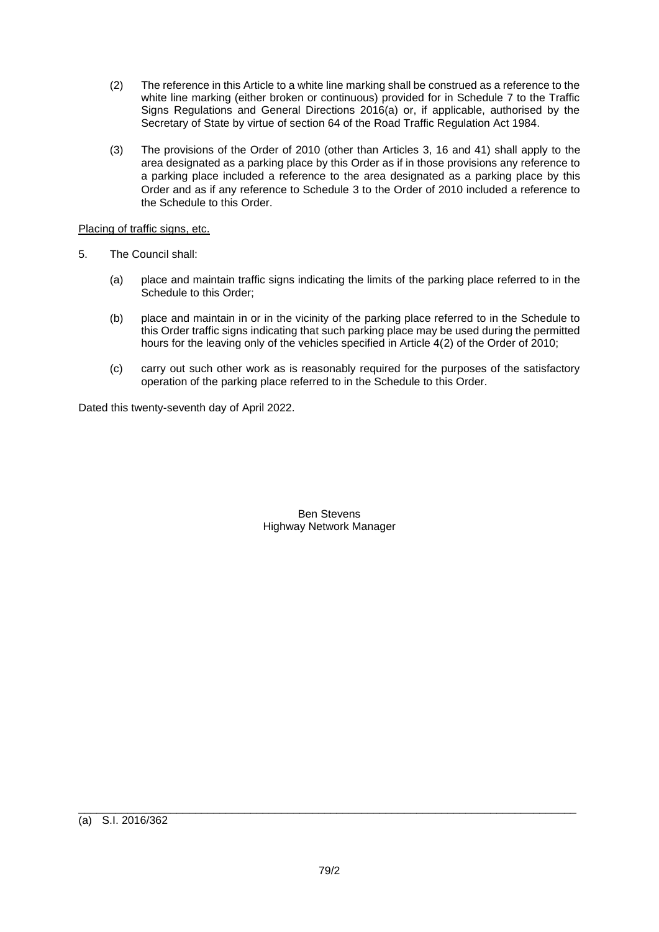- (2) The reference in this Article to a white line marking shall be construed as a reference to the white line marking (either broken or continuous) provided for in Schedule 7 to the Traffic Signs Regulations and General Directions 2016(a) or, if applicable, authorised by the Secretary of State by virtue of section 64 of the Road Traffic Regulation Act 1984.
- (3) The provisions of the Order of 2010 (other than Articles 3, 16 and 41) shall apply to the area designated as a parking place by this Order as if in those provisions any reference to a parking place included a reference to the area designated as a parking place by this Order and as if any reference to Schedule 3 to the Order of 2010 included a reference to the Schedule to this Order.

## Placing of traffic signs, etc.

- 5. The Council shall:
	- (a) place and maintain traffic signs indicating the limits of the parking place referred to in the Schedule to this Order;
	- (b) place and maintain in or in the vicinity of the parking place referred to in the Schedule to this Order traffic signs indicating that such parking place may be used during the permitted hours for the leaving only of the vehicles specified in Article 4(2) of the Order of 2010;
	- (c) carry out such other work as is reasonably required for the purposes of the satisfactory operation of the parking place referred to in the Schedule to this Order.

Dated this twenty-seventh day of April 2022.

Ben Stevens Highway Network Manager